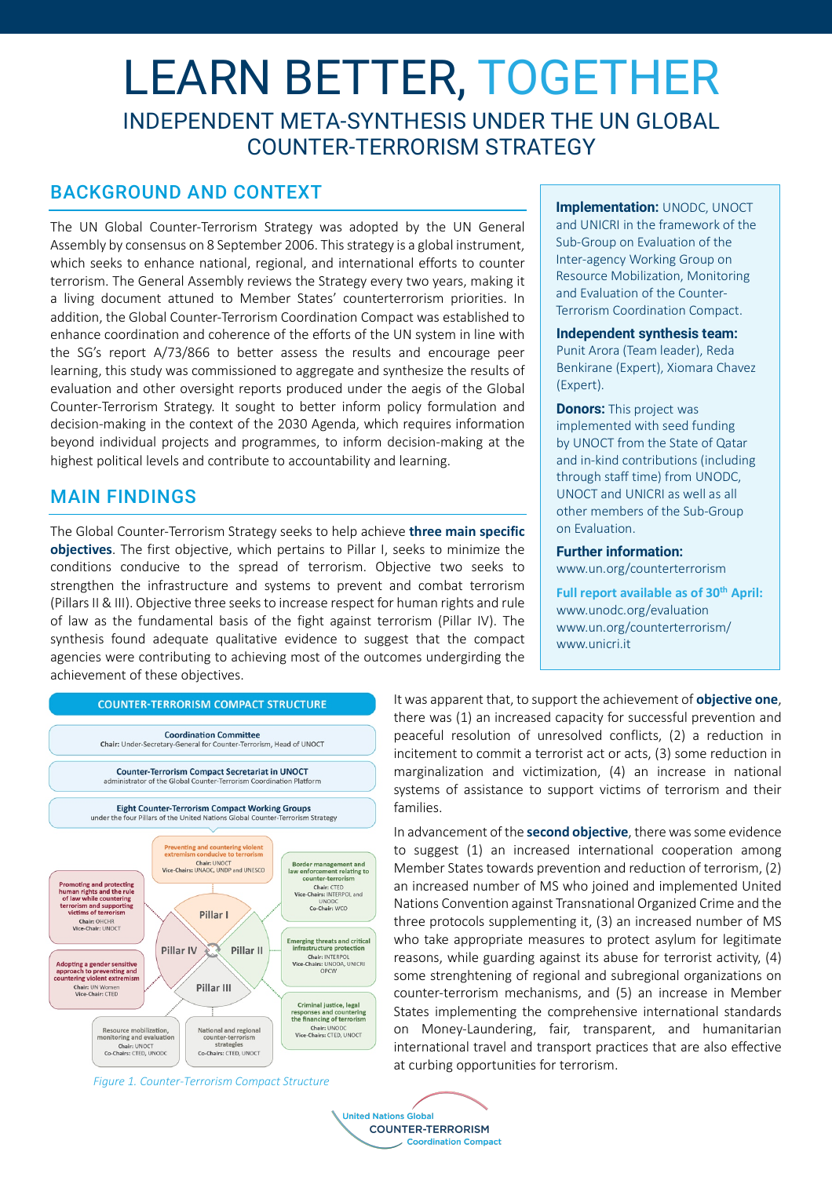# LEARN BETTER, TOGETHER INDEPENDENT META-SYNTHESIS UNDER THE UN GLOBAL COUNTER-TERRORISM STRATEGY

## BACKGROUND AND CONTEXT

The UN Global Counter-Terrorism Strategy was adopted by the UN General Assembly by consensus on 8 September 2006. This strategy is a global instrument, which seeks to enhance national, regional, and international efforts to counter terrorism. The General Assembly reviews the Strategy every two years, making it a living document attuned to Member States' counterterrorism priorities. In addition, the Global Counter-Terrorism Coordination Compact was established to enhance coordination and coherence of the efforts of the UN system in line with the SG's report A/73/866 to better assess the results and encourage peer learning, this study was commissioned to aggregate and synthesize the results of evaluation and other oversight reports produced under the aegis of the Global Counter-Terrorism Strategy. It sought to better inform policy formulation and decision-making in the context of the 2030 Agenda, which requires information beyond individual projects and programmes, to inform decision-making at the highest political levels and contribute to accountability and learning.

# MAIN FINDINGS

The Global Counter-Terrorism Strategy seeks to help achieve **three main specific objectives**. The first objective, which pertains to Pillar I, seeks to minimize the conditions conducive to the spread of terrorism. Objective two seeks to strengthen the infrastructure and systems to prevent and combat terrorism (Pillars II & III). Objective three seeks to increase respect for human rights and rule of law as the fundamental basis of the fight against terrorism (Pillar IV). The synthesis found adequate qualitative evidence to suggest that the compact agencies were contributing to achieving most of the outcomes undergirding the achievement of these objectives.



*Figure 1. Counter-Terrorism Compact Structure*

**Implementation: UNODC, UNOCT** and UNICRI in the framework of the Sub-Group on Evaluation of the Inter-agency Working Group on Resource Mobilization, Monitoring and Evaluation of the Counter-Terrorism Coordination Compact.

### **Independent synthesis team:**

Punit Arora (Team leader), Reda Benkirane (Expert), Xiomara Chavez (Expert).

**Donors:** This project was implemented with seed funding by UNOCT from the State of Qatar and in-kind contributions (including through staff time) from UNODC, UNOCT and UNICRI as well as all other members of the Sub-Group on Evaluation.

## **Further information:**

www.un.org/counterterrorism

**Full report available as of 30th April:** www.unodc.org/evaluation www.un.org/counterterrorism/ www.unicri.it

It was apparent that, to support the achievement of **objective one**, there was (1) an increased capacity for successful prevention and peaceful resolution of unresolved conflicts, (2) a reduction in incitement to commit a terrorist act or acts, (3) some reduction in marginalization and victimization, (4) an increase in national systems of assistance to support victims of terrorism and their families.

In advancement of the **second objective**, there was some evidence to suggest (1) an increased international cooperation among Member States towards prevention and reduction of terrorism, (2) an increased number of MS who joined and implemented United Nations Convention against Transnational Organized Crime and the three protocols supplementing it, (3) an increased number of MS who take appropriate measures to protect asylum for legitimate reasons, while guarding against its abuse for terrorist activity, (4) some strenghtening of regional and subregional organizations on counter-terrorism mechanisms, and (5) an increase in Member States implementing the comprehensive international standards on Money-Laundering, fair, transparent, and humanitarian international travel and transport practices that are also effective at curbing opportunities for terrorism.